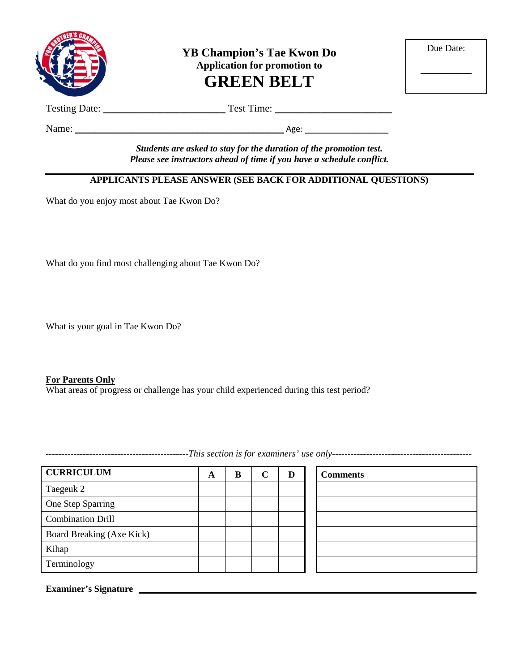

**YB Champion's Tae Kwon Do Application for promotion to GREEN BELT**

| Due Date: |  |
|-----------|--|
|           |  |

Testing Date: \_\_\_\_\_\_\_\_\_\_\_\_\_\_\_\_\_\_\_\_\_\_\_\_ Test Time: \_\_\_\_\_\_\_\_\_\_\_\_\_\_\_\_\_\_\_\_\_\_\_

Name: \_\_\_\_\_\_\_\_\_\_\_\_\_\_\_\_\_\_\_\_\_\_\_\_\_\_\_\_\_\_\_\_\_\_\_\_\_\_\_\_\_ Age: \_\_\_\_\_\_\_\_\_\_\_\_\_\_\_\_\_\_

*Students are asked to stay for the duration of the promotion test. Please see instructors ahead of time if you have a schedule conflict.*

#### **APPLICANTS PLEASE ANSWER (SEE BACK FOR ADDITIONAL QUESTIONS)**

What do you enjoy most about Tae Kwon Do?

What do you find most challenging about Tae Kwon Do?

What is your goal in Tae Kwon Do?

#### **For Parents Only**

What areas of progress or challenge has your child experienced during this test period?

**CURRICULUM A B C D Comments** Taegeuk 2 One Step Sparring Combination Drill Board Breaking (Axe Kick) Kihap Terminology

**Examiner's Signature**

----------------------------------------------*This section is for examiners' use only---------------------------------------------*